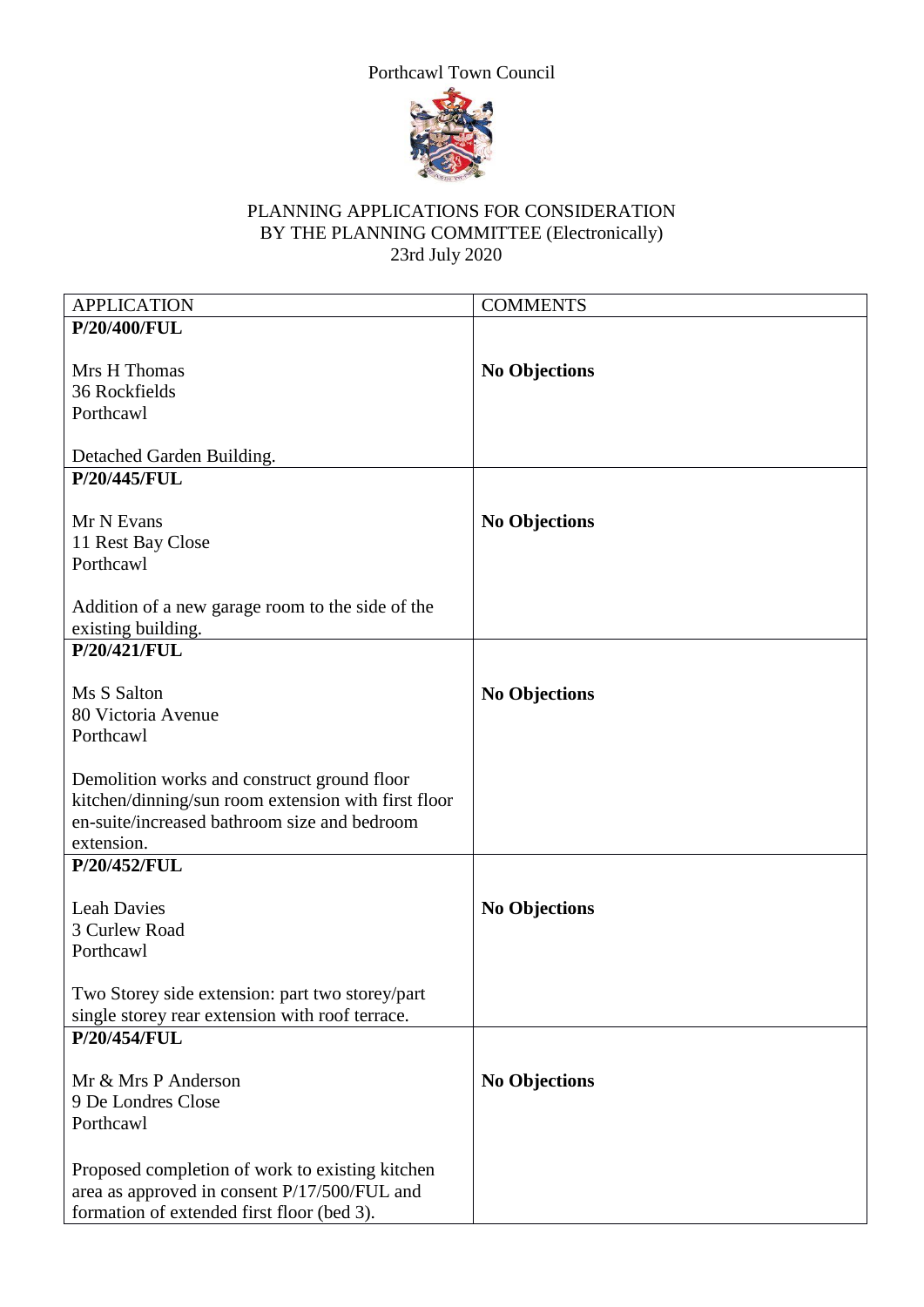



## PLANNING APPLICATIONS FOR CONSIDERATION BY THE PLANNING COMMITTEE (Electronically) 23rd July 2020

| <b>APPLICATION</b>                                  | <b>COMMENTS</b>      |
|-----------------------------------------------------|----------------------|
| P/20/400/FUL                                        |                      |
|                                                     |                      |
| Mrs H Thomas                                        | <b>No Objections</b> |
| 36 Rockfields                                       |                      |
| Porthcawl                                           |                      |
|                                                     |                      |
| Detached Garden Building.                           |                      |
| P/20/445/FUL                                        |                      |
|                                                     |                      |
| Mr N Evans                                          | <b>No Objections</b> |
| 11 Rest Bay Close                                   |                      |
| Porthcawl                                           |                      |
|                                                     |                      |
| Addition of a new garage room to the side of the    |                      |
| existing building.                                  |                      |
| P/20/421/FUL                                        |                      |
|                                                     |                      |
| Ms S Salton                                         | <b>No Objections</b> |
| 80 Victoria Avenue                                  |                      |
| Porthcawl                                           |                      |
|                                                     |                      |
| Demolition works and construct ground floor         |                      |
| kitchen/dinning/sun room extension with first floor |                      |
| en-suite/increased bathroom size and bedroom        |                      |
|                                                     |                      |
| extension.                                          |                      |
| P/20/452/FUL                                        |                      |
|                                                     |                      |
| <b>Leah Davies</b>                                  | <b>No Objections</b> |
| 3 Curlew Road                                       |                      |
| Porthcawl                                           |                      |
|                                                     |                      |
| Two Storey side extension: part two storey/part     |                      |
| single storey rear extension with roof terrace.     |                      |
| P/20/454/FUL                                        |                      |
|                                                     |                      |
| Mr & Mrs P Anderson                                 | <b>No Objections</b> |
| 9 De Londres Close                                  |                      |
| Porthcawl                                           |                      |
|                                                     |                      |
| Proposed completion of work to existing kitchen     |                      |
| area as approved in consent P/17/500/FUL and        |                      |
| formation of extended first floor (bed 3).          |                      |